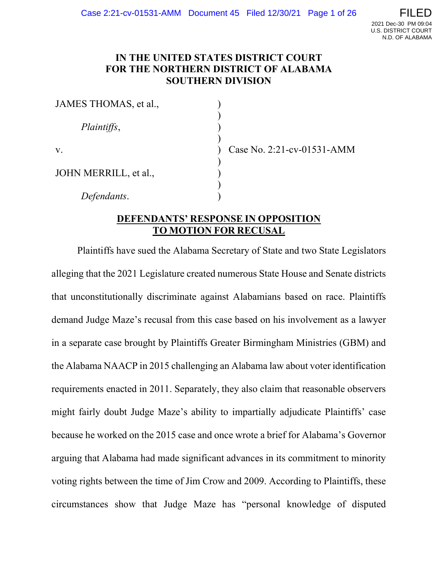## IN THE UNITED STATES DISTRICT COURT FOR THE NORTHERN DISTRICT OF ALABAMA SOUTHERN DIVISION

| JAMES THOMAS, et al., |  |
|-----------------------|--|
| Plaintiffs,           |  |
| $V_{\rm A}$           |  |
| JOHN MERRILL, et al., |  |
| Defendants.           |  |

Case No. 2:21-cv-01531-AMM

### DEFENDANTS' RESPONSE IN OPPOSITION TO MOTION FOR RECUSAL

Plaintiffs have sued the Alabama Secretary of State and two State Legislators alleging that the 2021 Legislature created numerous State House and Senate districts that unconstitutionally discriminate against Alabamians based on race. Plaintiffs demand Judge Maze's recusal from this case based on his involvement as a lawyer in a separate case brought by Plaintiffs Greater Birmingham Ministries (GBM) and the Alabama NAACP in 2015 challenging an Alabama law about voter identification requirements enacted in 2011. Separately, they also claim that reasonable observers might fairly doubt Judge Maze's ability to impartially adjudicate Plaintiffs' case because he worked on the 2015 case and once wrote a brief for Alabama's Governor arguing that Alabama had made significant advances in its commitment to minority voting rights between the time of Jim Crow and 2009. According to Plaintiffs, these circumstances show that Judge Maze has "personal knowledge of disputed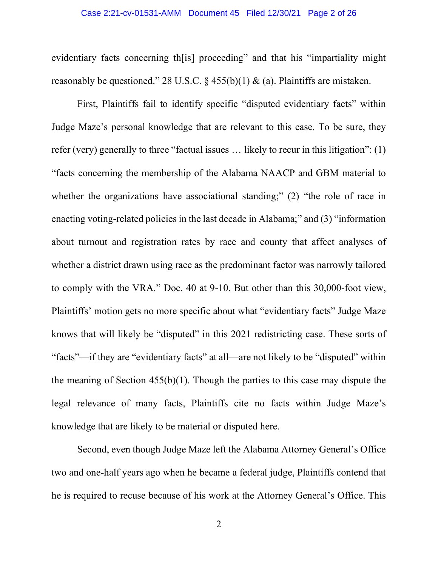#### Case 2:21-cv-01531-AMM Document 45 Filed 12/30/21 Page 2 of 26

evidentiary facts concerning th[is] proceeding" and that his "impartiality might reasonably be questioned." 28 U.S.C.  $\S$  455(b)(1) & (a). Plaintiffs are mistaken.

First, Plaintiffs fail to identify specific "disputed evidentiary facts" within Judge Maze's personal knowledge that are relevant to this case. To be sure, they refer (very) generally to three "factual issues … likely to recur in this litigation": (1) "facts concerning the membership of the Alabama NAACP and GBM material to whether the organizations have associational standing;" (2) "the role of race in enacting voting-related policies in the last decade in Alabama;" and (3) "information about turnout and registration rates by race and county that affect analyses of whether a district drawn using race as the predominant factor was narrowly tailored to comply with the VRA." Doc. 40 at 9-10. But other than this 30,000-foot view, Plaintiffs' motion gets no more specific about what "evidentiary facts" Judge Maze knows that will likely be "disputed" in this 2021 redistricting case. These sorts of "facts"—if they are "evidentiary facts" at all—are not likely to be "disputed" within the meaning of Section 455(b)(1). Though the parties to this case may dispute the legal relevance of many facts, Plaintiffs cite no facts within Judge Maze's knowledge that are likely to be material or disputed here.

Second, even though Judge Maze left the Alabama Attorney General's Office two and one-half years ago when he became a federal judge, Plaintiffs contend that he is required to recuse because of his work at the Attorney General's Office. This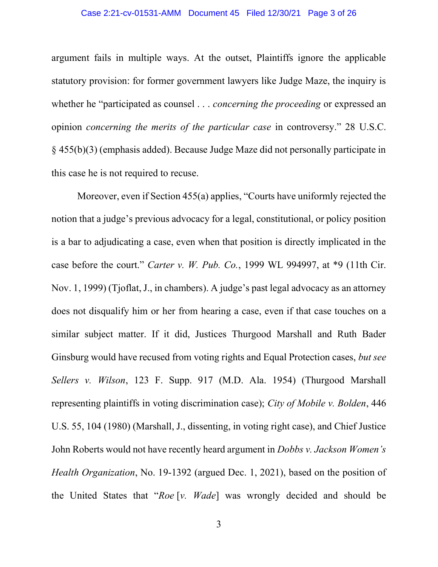#### Case 2:21-cv-01531-AMM Document 45 Filed 12/30/21 Page 3 of 26

argument fails in multiple ways. At the outset, Plaintiffs ignore the applicable statutory provision: for former government lawyers like Judge Maze, the inquiry is whether he "participated as counsel . . . *concerning the proceeding* or expressed an opinion concerning the merits of the particular case in controversy." 28 U.S.C. § 455(b)(3) (emphasis added). Because Judge Maze did not personally participate in this case he is not required to recuse.

Moreover, even if Section 455(a) applies, "Courts have uniformly rejected the notion that a judge's previous advocacy for a legal, constitutional, or policy position is a bar to adjudicating a case, even when that position is directly implicated in the case before the court." Carter v. W. Pub. Co., 1999 WL 994997, at \*9 (11th Cir. Nov. 1, 1999) (Tjoflat, J., in chambers). A judge's past legal advocacy as an attorney does not disqualify him or her from hearing a case, even if that case touches on a similar subject matter. If it did, Justices Thurgood Marshall and Ruth Bader Ginsburg would have recused from voting rights and Equal Protection cases, but see Sellers v. Wilson, 123 F. Supp. 917 (M.D. Ala. 1954) (Thurgood Marshall representing plaintiffs in voting discrimination case); City of Mobile v. Bolden, 446 U.S. 55, 104 (1980) (Marshall, J., dissenting, in voting right case), and Chief Justice John Roberts would not have recently heard argument in *Dobbs v. Jackson Women's* Health Organization, No. 19-1392 (argued Dec. 1, 2021), based on the position of the United States that "Roe [v. Wade] was wrongly decided and should be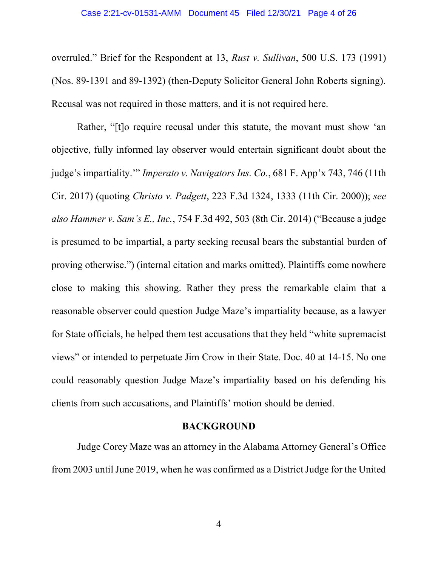overruled." Brief for the Respondent at 13, Rust v. Sullivan, 500 U.S. 173 (1991) (Nos. 89-1391 and 89-1392) (then-Deputy Solicitor General John Roberts signing). Recusal was not required in those matters, and it is not required here.

Rather, "[t]o require recusal under this statute, the movant must show 'an objective, fully informed lay observer would entertain significant doubt about the judge's impartiality.'" Imperato v. Navigators Ins. Co., 681 F. App'x 743, 746 (11th Cir. 2017) (quoting Christo v. Padgett, 223 F.3d 1324, 1333 (11th Cir. 2000)); see also Hammer v. Sam's E., Inc., 754 F.3d 492, 503 (8th Cir. 2014) ("Because a judge is presumed to be impartial, a party seeking recusal bears the substantial burden of proving otherwise.") (internal citation and marks omitted). Plaintiffs come nowhere close to making this showing. Rather they press the remarkable claim that a reasonable observer could question Judge Maze's impartiality because, as a lawyer for State officials, he helped them test accusations that they held "white supremacist views" or intended to perpetuate Jim Crow in their State. Doc. 40 at 14-15. No one could reasonably question Judge Maze's impartiality based on his defending his clients from such accusations, and Plaintiffs' motion should be denied.

### BACKGROUND

Judge Corey Maze was an attorney in the Alabama Attorney General's Office from 2003 until June 2019, when he was confirmed as a District Judge for the United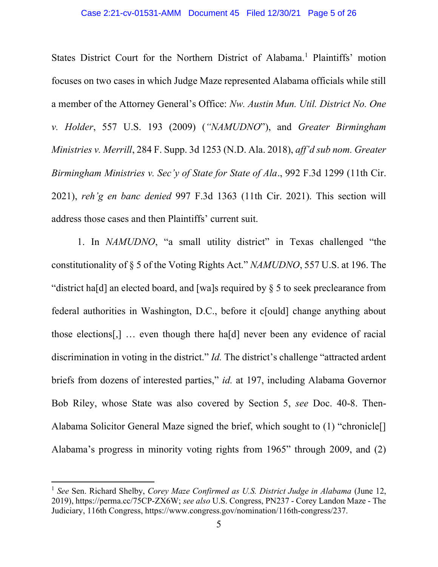States District Court for the Northern District of Alabama.<sup>1</sup> Plaintiffs' motion focuses on two cases in which Judge Maze represented Alabama officials while still a member of the Attorney General's Office: Nw. Austin Mun. Util. District No. One v. Holder, 557 U.S. 193 (2009) ("NAMUDNO"), and Greater Birmingham Ministries v. Merrill, 284 F. Supp. 3d 1253 (N.D. Ala. 2018), aff'd sub nom. Greater Birmingham Ministries v. Sec'y of State for State of Ala., 992 F.3d 1299 (11th Cir. 2021), reh'g en banc denied 997 F.3d 1363 (11th Cir. 2021). This section will address those cases and then Plaintiffs' current suit.

1. In NAMUDNO, "a small utility district" in Texas challenged "the constitutionality of § 5 of the Voting Rights Act." NAMUDNO, 557 U.S. at 196. The "district ha[d] an elected board, and [wa]s required by § 5 to seek preclearance from federal authorities in Washington, D.C., before it c[ould] change anything about those elections[,] … even though there ha[d] never been any evidence of racial discrimination in voting in the district." *Id*. The district's challenge "attracted ardent briefs from dozens of interested parties," id. at 197, including Alabama Governor Bob Riley, whose State was also covered by Section 5, see Doc. 40-8. Then-Alabama Solicitor General Maze signed the brief, which sought to (1) "chronicle[] Alabama's progress in minority voting rights from 1965" through 2009, and (2)

<sup>&</sup>lt;sup>1</sup> See Sen. Richard Shelby, Corey Maze Confirmed as U.S. District Judge in Alabama (June 12, 2019), https://perma.cc/75CP-ZX6W; see also U.S. Congress, PN237 - Corey Landon Maze - The Judiciary, 116th Congress, https://www.congress.gov/nomination/116th-congress/237.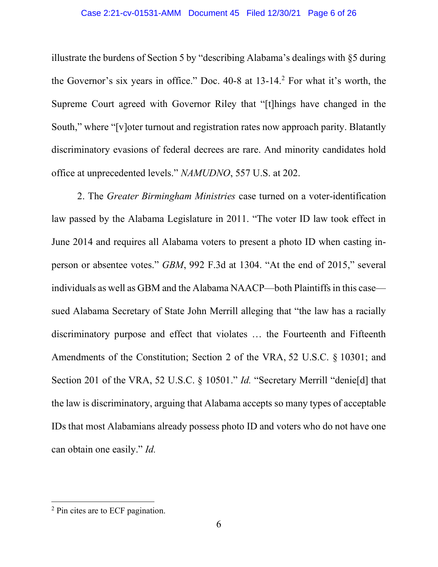#### Case 2:21-cv-01531-AMM Document 45 Filed 12/30/21 Page 6 of 26

illustrate the burdens of Section 5 by "describing Alabama's dealings with §5 during the Governor's six years in office." Doc.  $40-8$  at  $13-14$ . For what it's worth, the Supreme Court agreed with Governor Riley that "[t]hings have changed in the South," where "[v]oter turnout and registration rates now approach parity. Blatantly discriminatory evasions of federal decrees are rare. And minority candidates hold office at unprecedented levels." NAMUDNO, 557 U.S. at 202.

2. The Greater Birmingham Ministries case turned on a voter-identification law passed by the Alabama Legislature in 2011. "The voter ID law took effect in June 2014 and requires all Alabama voters to present a photo ID when casting inperson or absentee votes." GBM, 992 F.3d at 1304. "At the end of 2015," several individuals as well as GBM and the Alabama NAACP—both Plaintiffs in this case sued Alabama Secretary of State John Merrill alleging that "the law has a racially discriminatory purpose and effect that violates … the Fourteenth and Fifteenth Amendments of the Constitution; Section 2 of the VRA, 52 U.S.C. § 10301; and Section 201 of the VRA, 52 U.S.C. § 10501." *Id.* "Secretary Merrill "denie[d] that the law is discriminatory, arguing that Alabama accepts so many types of acceptable IDs that most Alabamians already possess photo ID and voters who do not have one can obtain one easily." Id.

<sup>&</sup>lt;sup>2</sup> Pin cites are to ECF pagination.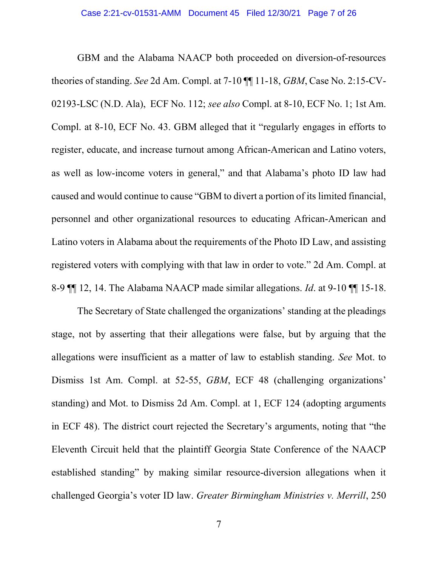GBM and the Alabama NAACP both proceeded on diversion-of-resources theories of standing. See 2d Am. Compl. at 7-10 ¶¶ 11-18, GBM, Case No. 2:15-CV-02193-LSC (N.D. Ala), ECF No. 112; see also Compl. at 8-10, ECF No. 1; 1st Am. Compl. at 8-10, ECF No. 43. GBM alleged that it "regularly engages in efforts to register, educate, and increase turnout among African-American and Latino voters, as well as low-income voters in general," and that Alabama's photo ID law had caused and would continue to cause "GBM to divert a portion of its limited financial, personnel and other organizational resources to educating African-American and Latino voters in Alabama about the requirements of the Photo ID Law, and assisting registered voters with complying with that law in order to vote." 2d Am. Compl. at 8-9 ¶¶ 12, 14. The Alabama NAACP made similar allegations. Id. at 9-10 ¶¶ 15-18.

The Secretary of State challenged the organizations' standing at the pleadings stage, not by asserting that their allegations were false, but by arguing that the allegations were insufficient as a matter of law to establish standing. See Mot. to Dismiss 1st Am. Compl. at 52-55, GBM, ECF 48 (challenging organizations' standing) and Mot. to Dismiss 2d Am. Compl. at 1, ECF 124 (adopting arguments in ECF 48). The district court rejected the Secretary's arguments, noting that "the Eleventh Circuit held that the plaintiff Georgia State Conference of the NAACP established standing" by making similar resource-diversion allegations when it challenged Georgia's voter ID law. Greater Birmingham Ministries v. Merrill, 250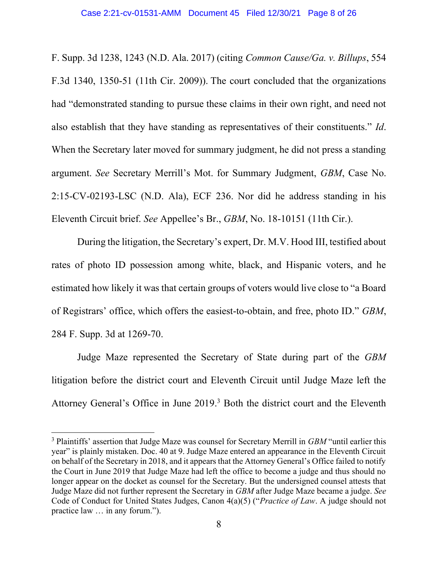F. Supp. 3d 1238, 1243 (N.D. Ala. 2017) (citing Common Cause/Ga. v. Billups, 554 F.3d 1340, 1350-51 (11th Cir. 2009)). The court concluded that the organizations had "demonstrated standing to pursue these claims in their own right, and need not also establish that they have standing as representatives of their constituents." Id. When the Secretary later moved for summary judgment, he did not press a standing argument. See Secretary Merrill's Mot. for Summary Judgment, GBM, Case No. 2:15-CV-02193-LSC (N.D. Ala), ECF 236. Nor did he address standing in his Eleventh Circuit brief. See Appellee's Br., GBM, No. 18-10151 (11th Cir.).

During the litigation, the Secretary's expert, Dr. M.V. Hood III, testified about rates of photo ID possession among white, black, and Hispanic voters, and he estimated how likely it was that certain groups of voters would live close to "a Board of Registrars' office, which offers the easiest-to-obtain, and free, photo ID." GBM, 284 F. Supp. 3d at 1269-70.

Judge Maze represented the Secretary of State during part of the GBM litigation before the district court and Eleventh Circuit until Judge Maze left the Attorney General's Office in June 2019.<sup>3</sup> Both the district court and the Eleventh

 $3$  Plaintiffs' assertion that Judge Maze was counsel for Secretary Merrill in  $GBM$  "until earlier this year" is plainly mistaken. Doc. 40 at 9. Judge Maze entered an appearance in the Eleventh Circuit on behalf of the Secretary in 2018, and it appears that the Attorney General's Office failed to notify the Court in June 2019 that Judge Maze had left the office to become a judge and thus should no longer appear on the docket as counsel for the Secretary. But the undersigned counsel attests that Judge Maze did not further represent the Secretary in GBM after Judge Maze became a judge. See Code of Conduct for United States Judges, Canon 4(a)(5) ("Practice of Law. A judge should not practice law … in any forum.").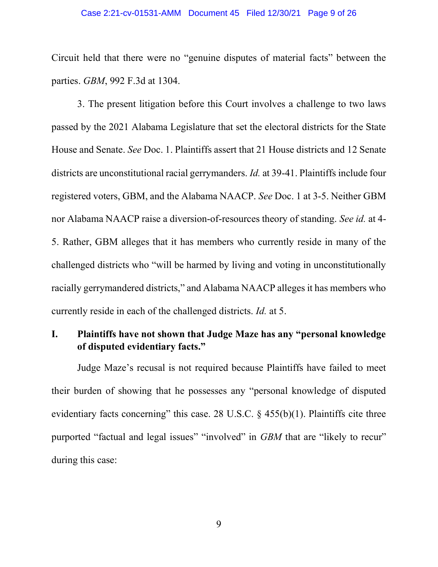#### Case 2:21-cv-01531-AMM Document 45 Filed 12/30/21 Page 9 of 26

Circuit held that there were no "genuine disputes of material facts" between the parties. GBM, 992 F.3d at 1304.

3. The present litigation before this Court involves a challenge to two laws passed by the 2021 Alabama Legislature that set the electoral districts for the State House and Senate. See Doc. 1. Plaintiffs assert that 21 House districts and 12 Senate districts are unconstitutional racial gerrymanders. *Id.* at 39-41. Plaintiffs include four registered voters, GBM, and the Alabama NAACP. See Doc. 1 at 3-5. Neither GBM nor Alabama NAACP raise a diversion-of-resources theory of standing. See id. at 4- 5. Rather, GBM alleges that it has members who currently reside in many of the challenged districts who "will be harmed by living and voting in unconstitutionally racially gerrymandered districts," and Alabama NAACP alleges it has members who currently reside in each of the challenged districts. Id. at 5.

## I. Plaintiffs have not shown that Judge Maze has any "personal knowledge of disputed evidentiary facts."

Judge Maze's recusal is not required because Plaintiffs have failed to meet their burden of showing that he possesses any "personal knowledge of disputed evidentiary facts concerning" this case. 28 U.S.C.  $\S$  455(b)(1). Plaintiffs cite three purported "factual and legal issues" "involved" in GBM that are "likely to recur" during this case: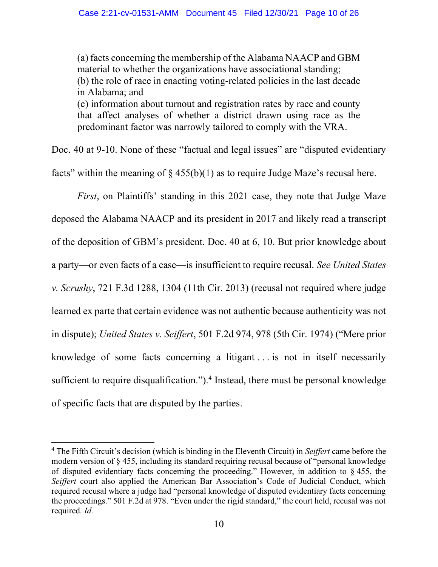(a) facts concerning the membership of the Alabama NAACP and GBM material to whether the organizations have associational standing; (b) the role of race in enacting voting-related policies in the last decade in Alabama; and (c) information about turnout and registration rates by race and county that affect analyses of whether a district drawn using race as the predominant factor was narrowly tailored to comply with the VRA.

Doc. 40 at 9-10. None of these "factual and legal issues" are "disputed evidentiary facts" within the meaning of  $\S$  455(b)(1) as to require Judge Maze's recusal here.

First, on Plaintiffs' standing in this 2021 case, they note that Judge Maze deposed the Alabama NAACP and its president in 2017 and likely read a transcript of the deposition of GBM's president. Doc. 40 at 6, 10. But prior knowledge about a party—or even facts of a case—is insufficient to require recusal. See United States v. Scrushy, 721 F.3d 1288, 1304 (11th Cir. 2013) (recusal not required where judge learned ex parte that certain evidence was not authentic because authenticity was not in dispute); United States v. Seiffert, 501 F.2d 974, 978 (5th Cir. 1974) ("Mere prior knowledge of some facts concerning a litigant . . . is not in itself necessarily sufficient to require disqualification."). $4$  Instead, there must be personal knowledge of specific facts that are disputed by the parties.

<sup>&</sup>lt;sup>4</sup> The Fifth Circuit's decision (which is binding in the Eleventh Circuit) in Seiffert came before the modern version of § 455, including its standard requiring recusal because of "personal knowledge of disputed evidentiary facts concerning the proceeding." However, in addition to § 455, the Seiffert court also applied the American Bar Association's Code of Judicial Conduct, which required recusal where a judge had "personal knowledge of disputed evidentiary facts concerning the proceedings." 501 F.2d at 978. "Even under the rigid standard," the court held, recusal was not required. Id.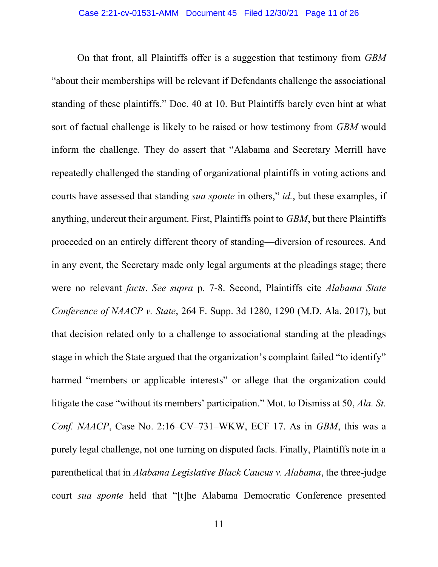On that front, all Plaintiffs offer is a suggestion that testimony from GBM "about their memberships will be relevant if Defendants challenge the associational standing of these plaintiffs." Doc. 40 at 10. But Plaintiffs barely even hint at what sort of factual challenge is likely to be raised or how testimony from GBM would inform the challenge. They do assert that "Alabama and Secretary Merrill have repeatedly challenged the standing of organizational plaintiffs in voting actions and courts have assessed that standing *sua sponte* in others," *id.*, but these examples, if anything, undercut their argument. First, Plaintiffs point to GBM, but there Plaintiffs proceeded on an entirely different theory of standing—diversion of resources. And in any event, the Secretary made only legal arguments at the pleadings stage; there were no relevant facts. See supra p. 7-8. Second, Plaintiffs cite Alabama State Conference of NAACP v. State, 264 F. Supp. 3d 1280, 1290 (M.D. Ala. 2017), but that decision related only to a challenge to associational standing at the pleadings stage in which the State argued that the organization's complaint failed "to identify" harmed "members or applicable interests" or allege that the organization could litigate the case "without its members' participation." Mot. to Dismiss at 50, Ala. St. Conf. NAACP, Case No. 2:16–CV–731–WKW, ECF 17. As in GBM, this was a purely legal challenge, not one turning on disputed facts. Finally, Plaintiffs note in a parenthetical that in Alabama Legislative Black Caucus v. Alabama, the three-judge court sua sponte held that "[t]he Alabama Democratic Conference presented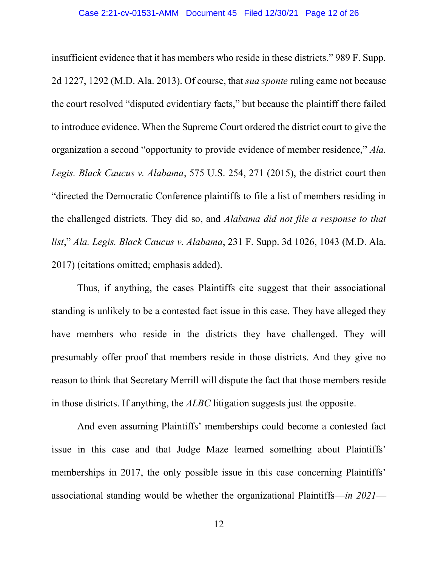insufficient evidence that it has members who reside in these districts." 989 F. Supp. 2d 1227, 1292 (M.D. Ala. 2013). Of course, that sua sponte ruling came not because the court resolved "disputed evidentiary facts," but because the plaintiff there failed to introduce evidence. When the Supreme Court ordered the district court to give the organization a second "opportunity to provide evidence of member residence," Ala. Legis. Black Caucus v. Alabama, 575 U.S. 254, 271 (2015), the district court then "directed the Democratic Conference plaintiffs to file a list of members residing in the challenged districts. They did so, and Alabama did not file a response to that list," Ala. Legis. Black Caucus v. Alabama, 231 F. Supp. 3d 1026, 1043 (M.D. Ala. 2017) (citations omitted; emphasis added).

 Thus, if anything, the cases Plaintiffs cite suggest that their associational standing is unlikely to be a contested fact issue in this case. They have alleged they have members who reside in the districts they have challenged. They will presumably offer proof that members reside in those districts. And they give no reason to think that Secretary Merrill will dispute the fact that those members reside in those districts. If anything, the ALBC litigation suggests just the opposite.

And even assuming Plaintiffs' memberships could become a contested fact issue in this case and that Judge Maze learned something about Plaintiffs' memberships in 2017, the only possible issue in this case concerning Plaintiffs' associational standing would be whether the organizational Plaintiffs—in 2021—

12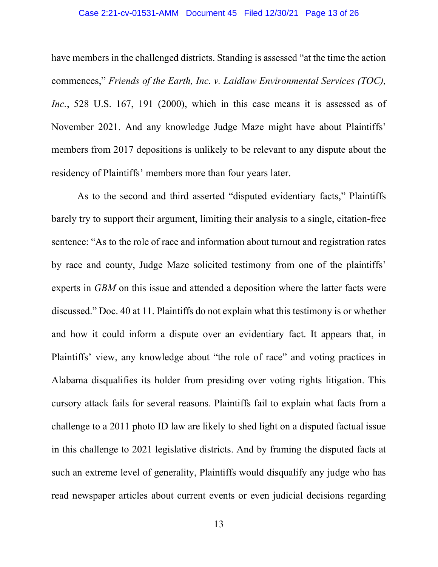#### Case 2:21-cv-01531-AMM Document 45 Filed 12/30/21 Page 13 of 26

have members in the challenged districts. Standing is assessed "at the time the action commences," Friends of the Earth, Inc. v. Laidlaw Environmental Services (TOC), Inc., 528 U.S. 167, 191 (2000), which in this case means it is assessed as of November 2021. And any knowledge Judge Maze might have about Plaintiffs' members from 2017 depositions is unlikely to be relevant to any dispute about the residency of Plaintiffs' members more than four years later.

 As to the second and third asserted "disputed evidentiary facts," Plaintiffs barely try to support their argument, limiting their analysis to a single, citation-free sentence: "As to the role of race and information about turnout and registration rates by race and county, Judge Maze solicited testimony from one of the plaintiffs' experts in GBM on this issue and attended a deposition where the latter facts were discussed." Doc. 40 at 11. Plaintiffs do not explain what this testimony is or whether and how it could inform a dispute over an evidentiary fact. It appears that, in Plaintiffs' view, any knowledge about "the role of race" and voting practices in Alabama disqualifies its holder from presiding over voting rights litigation. This cursory attack fails for several reasons. Plaintiffs fail to explain what facts from a challenge to a 2011 photo ID law are likely to shed light on a disputed factual issue in this challenge to 2021 legislative districts. And by framing the disputed facts at such an extreme level of generality, Plaintiffs would disqualify any judge who has read newspaper articles about current events or even judicial decisions regarding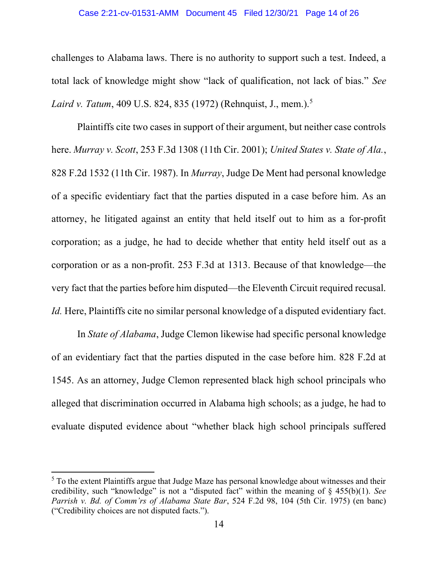#### Case 2:21-cv-01531-AMM Document 45 Filed 12/30/21 Page 14 of 26

challenges to Alabama laws. There is no authority to support such a test. Indeed, a total lack of knowledge might show "lack of qualification, not lack of bias." See Laird v. Tatum, 409 U.S. 824, 835 (1972) (Rehnquist, J., mem.).<sup>5</sup>

 Plaintiffs cite two cases in support of their argument, but neither case controls here. Murray v. Scott, 253 F.3d 1308 (11th Cir. 2001); United States v. State of Ala., 828 F.2d 1532 (11th Cir. 1987). In Murray, Judge De Ment had personal knowledge of a specific evidentiary fact that the parties disputed in a case before him. As an attorney, he litigated against an entity that held itself out to him as a for-profit corporation; as a judge, he had to decide whether that entity held itself out as a corporation or as a non-profit. 253 F.3d at 1313. Because of that knowledge—the very fact that the parties before him disputed—the Eleventh Circuit required recusal. Id. Here, Plaintiffs cite no similar personal knowledge of a disputed evidentiary fact.

 In State of Alabama, Judge Clemon likewise had specific personal knowledge of an evidentiary fact that the parties disputed in the case before him. 828 F.2d at 1545. As an attorney, Judge Clemon represented black high school principals who alleged that discrimination occurred in Alabama high schools; as a judge, he had to evaluate disputed evidence about "whether black high school principals suffered

 $<sup>5</sup>$  To the extent Plaintiffs argue that Judge Maze has personal knowledge about witnesses and their</sup> credibility, such "knowledge" is not a "disputed fact" within the meaning of  $\S$  455(b)(1). See Parrish v. Bd. of Comm'rs of Alabama State Bar, 524 F.2d 98, 104 (5th Cir. 1975) (en banc) ("Credibility choices are not disputed facts.").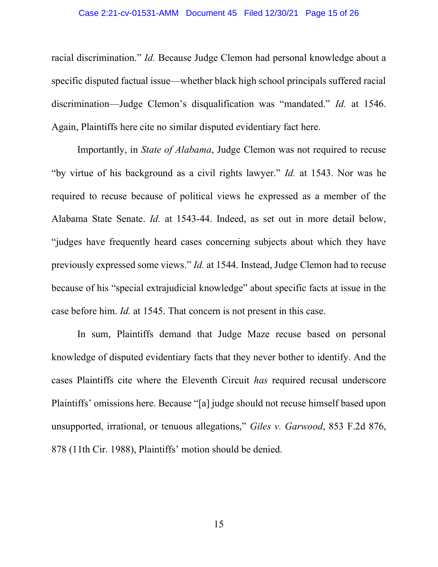racial discrimination." Id. Because Judge Clemon had personal knowledge about a specific disputed factual issue—whether black high school principals suffered racial discrimination—Judge Clemon's disqualification was "mandated." Id. at 1546. Again, Plaintiffs here cite no similar disputed evidentiary fact here.

 Importantly, in State of Alabama, Judge Clemon was not required to recuse "by virtue of his background as a civil rights lawyer." Id. at 1543. Nor was he required to recuse because of political views he expressed as a member of the Alabama State Senate. Id. at 1543-44. Indeed, as set out in more detail below, "judges have frequently heard cases concerning subjects about which they have previously expressed some views." Id. at 1544. Instead, Judge Clemon had to recuse because of his "special extrajudicial knowledge" about specific facts at issue in the case before him. Id. at 1545. That concern is not present in this case.

 In sum, Plaintiffs demand that Judge Maze recuse based on personal knowledge of disputed evidentiary facts that they never bother to identify. And the cases Plaintiffs cite where the Eleventh Circuit has required recusal underscore Plaintiffs' omissions here. Because "[a] judge should not recuse himself based upon unsupported, irrational, or tenuous allegations," Giles v. Garwood, 853 F.2d 876, 878 (11th Cir. 1988), Plaintiffs' motion should be denied.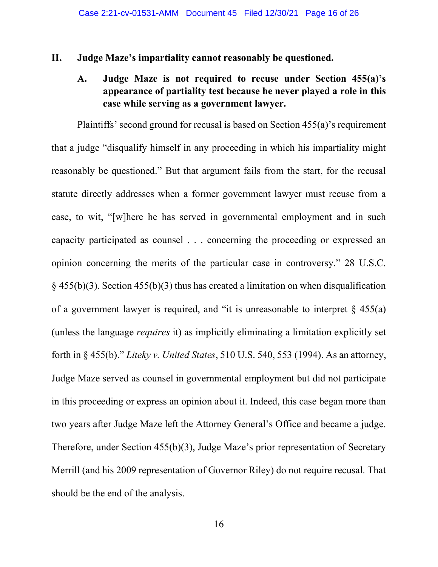### II. Judge Maze's impartiality cannot reasonably be questioned.

# A. Judge Maze is not required to recuse under Section 455(a)'s appearance of partiality test because he never played a role in this case while serving as a government lawyer.

Plaintiffs' second ground for recusal is based on Section 455(a)'s requirement that a judge "disqualify himself in any proceeding in which his impartiality might reasonably be questioned." But that argument fails from the start, for the recusal statute directly addresses when a former government lawyer must recuse from a case, to wit, "[w]here he has served in governmental employment and in such capacity participated as counsel . . . concerning the proceeding or expressed an opinion concerning the merits of the particular case in controversy." 28 U.S.C.  $\S$  455(b)(3). Section 455(b)(3) thus has created a limitation on when disqualification of a government lawyer is required, and "it is unreasonable to interpret  $\S$  455(a) (unless the language requires it) as implicitly eliminating a limitation explicitly set forth in § 455(b)." Liteky v. United States, 510 U.S. 540, 553 (1994). As an attorney, Judge Maze served as counsel in governmental employment but did not participate in this proceeding or express an opinion about it. Indeed, this case began more than two years after Judge Maze left the Attorney General's Office and became a judge. Therefore, under Section 455(b)(3), Judge Maze's prior representation of Secretary Merrill (and his 2009 representation of Governor Riley) do not require recusal. That should be the end of the analysis.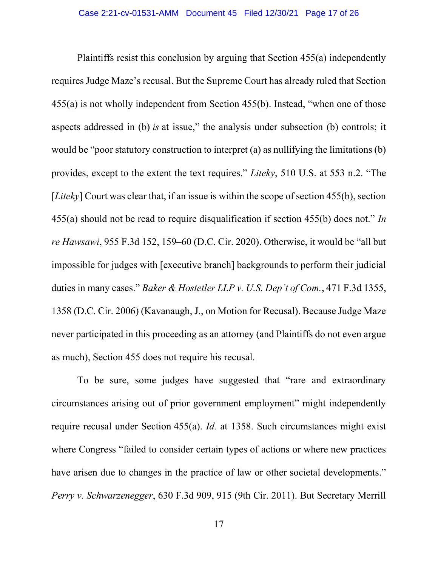Plaintiffs resist this conclusion by arguing that Section 455(a) independently requires Judge Maze's recusal. But the Supreme Court has already ruled that Section 455(a) is not wholly independent from Section 455(b). Instead, "when one of those aspects addressed in (b) is at issue," the analysis under subsection (b) controls; it would be "poor statutory construction to interpret (a) as nullifying the limitations (b) provides, except to the extent the text requires." Liteky, 510 U.S. at 553 n.2. "The [*Liteky*] Court was clear that, if an issue is within the scope of section 455(b), section 455(a) should not be read to require disqualification if section 455(b) does not." In re Hawsawi, 955 F.3d 152, 159–60 (D.C. Cir. 2020). Otherwise, it would be "all but impossible for judges with [executive branch] backgrounds to perform their judicial duties in many cases." Baker & Hostetler LLP v. U.S. Dep't of Com., 471 F.3d 1355, 1358 (D.C. Cir. 2006) (Kavanaugh, J., on Motion for Recusal). Because Judge Maze never participated in this proceeding as an attorney (and Plaintiffs do not even argue as much), Section 455 does not require his recusal.

To be sure, some judges have suggested that "rare and extraordinary circumstances arising out of prior government employment" might independently require recusal under Section 455(a). Id. at 1358. Such circumstances might exist where Congress "failed to consider certain types of actions or where new practices have arisen due to changes in the practice of law or other societal developments." Perry v. Schwarzenegger, 630 F.3d 909, 915 (9th Cir. 2011). But Secretary Merrill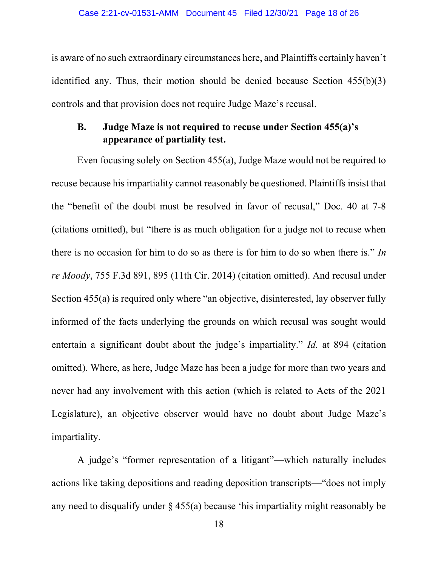is aware of no such extraordinary circumstances here, and Plaintiffs certainly haven't identified any. Thus, their motion should be denied because Section 455(b)(3) controls and that provision does not require Judge Maze's recusal.

# B. Judge Maze is not required to recuse under Section 455(a)'s appearance of partiality test.

Even focusing solely on Section 455(a), Judge Maze would not be required to recuse because his impartiality cannot reasonably be questioned. Plaintiffs insist that the "benefit of the doubt must be resolved in favor of recusal," Doc. 40 at 7-8 (citations omitted), but "there is as much obligation for a judge not to recuse when there is no occasion for him to do so as there is for him to do so when there is." In re Moody, 755 F.3d 891, 895 (11th Cir. 2014) (citation omitted). And recusal under Section 455(a) is required only where "an objective, disinterested, lay observer fully informed of the facts underlying the grounds on which recusal was sought would entertain a significant doubt about the judge's impartiality." Id. at 894 (citation omitted). Where, as here, Judge Maze has been a judge for more than two years and never had any involvement with this action (which is related to Acts of the 2021 Legislature), an objective observer would have no doubt about Judge Maze's impartiality.

A judge's "former representation of a litigant"—which naturally includes actions like taking depositions and reading deposition transcripts—"does not imply any need to disqualify under § 455(a) because 'his impartiality might reasonably be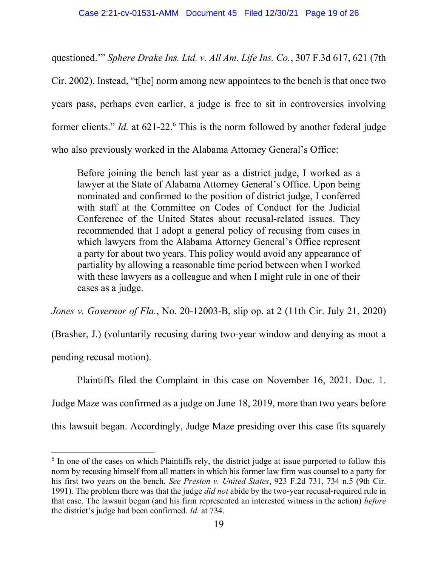questioned.'" Sphere Drake Ins. Ltd. v. All Am. Life Ins. Co., 307 F.3d 617, 621 (7th Cir. 2002). Instead, "t[he] norm among new appointees to the bench is that once two years pass, perhaps even earlier, a judge is free to sit in controversies involving former clients." *Id.* at 621-22.<sup>6</sup> This is the norm followed by another federal judge who also previously worked in the Alabama Attorney General's Office:

Before joining the bench last year as a district judge, I worked as a lawyer at the State of Alabama Attorney General's Office. Upon being nominated and confirmed to the position of district judge, I conferred with staff at the Committee on Codes of Conduct for the Judicial Conference of the United States about recusal-related issues. They recommended that I adopt a general policy of recusing from cases in which lawyers from the Alabama Attorney General's Office represent a party for about two years. This policy would avoid any appearance of partiality by allowing a reasonable time period between when I worked with these lawyers as a colleague and when I might rule in one of their cases as a judge.

Jones v. Governor of Fla., No. 20-12003-B, slip op. at 2 (11th Cir. July 21, 2020)

(Brasher, J.) (voluntarily recusing during two-year window and denying as moot a

pending recusal motion).

Plaintiffs filed the Complaint in this case on November 16, 2021. Doc. 1.

Judge Maze was confirmed as a judge on June 18, 2019, more than two years before

this lawsuit began. Accordingly, Judge Maze presiding over this case fits squarely

 $6$  In one of the cases on which Plaintiffs rely, the district judge at issue purported to follow this norm by recusing himself from all matters in which his former law firm was counsel to a party for his first two years on the bench. See Preston v. United States, 923 F.2d 731, 734 n.5 (9th Cir. 1991). The problem there was that the judge *did not* abide by the two-year recusal-required rule in that case. The lawsuit began (and his firm represented an interested witness in the action) before the district's judge had been confirmed. Id. at 734.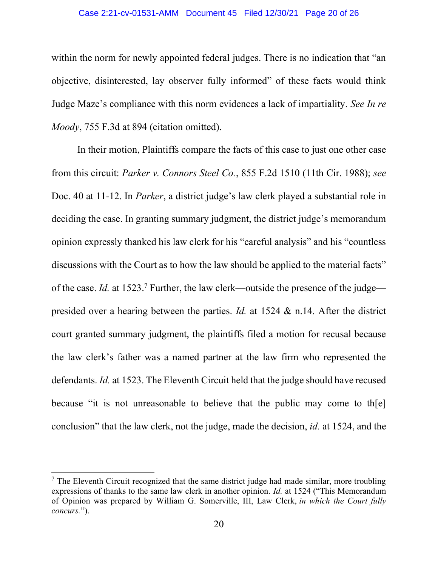#### Case 2:21-cv-01531-AMM Document 45 Filed 12/30/21 Page 20 of 26

within the norm for newly appointed federal judges. There is no indication that "an objective, disinterested, lay observer fully informed" of these facts would think Judge Maze's compliance with this norm evidences a lack of impartiality. See In re Moody, 755 F.3d at 894 (citation omitted).

 In their motion, Plaintiffs compare the facts of this case to just one other case from this circuit: Parker v. Connors Steel Co., 855 F.2d 1510 (11th Cir. 1988); see Doc. 40 at 11-12. In *Parker*, a district judge's law clerk played a substantial role in deciding the case. In granting summary judgment, the district judge's memorandum opinion expressly thanked his law clerk for his "careful analysis" and his "countless discussions with the Court as to how the law should be applied to the material facts" of the case. *Id.* at 1523.<sup>7</sup> Further, the law clerk—outside the presence of the judge presided over a hearing between the parties. Id. at 1524 & n.14. After the district court granted summary judgment, the plaintiffs filed a motion for recusal because the law clerk's father was a named partner at the law firm who represented the defendants. Id. at 1523. The Eleventh Circuit held that the judge should have recused because "it is not unreasonable to believe that the public may come to th[e] conclusion" that the law clerk, not the judge, made the decision, id. at 1524, and the

 $<sup>7</sup>$  The Eleventh Circuit recognized that the same district judge had made similar, more troubling</sup> expressions of thanks to the same law clerk in another opinion. Id. at 1524 ("This Memorandum of Opinion was prepared by William G. Somerville, III, Law Clerk, in which the Court fully concurs.").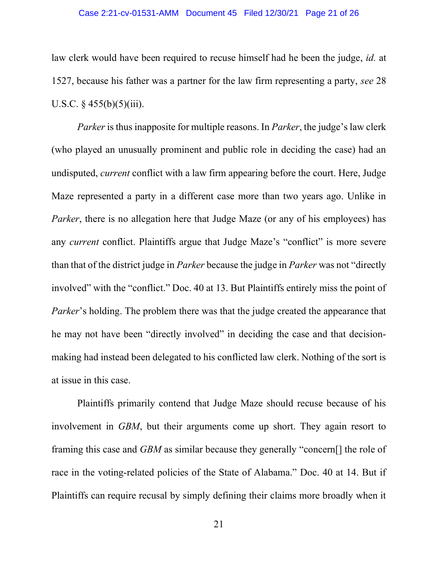#### Case 2:21-cv-01531-AMM Document 45 Filed 12/30/21 Page 21 of 26

law clerk would have been required to recuse himself had he been the judge, *id.* at 1527, because his father was a partner for the law firm representing a party, see 28 U.S.C.  $§$  455(b)(5)(iii).

Parker is thus inapposite for multiple reasons. In Parker, the judge's law clerk (who played an unusually prominent and public role in deciding the case) had an undisputed, *current* conflict with a law firm appearing before the court. Here, Judge Maze represented a party in a different case more than two years ago. Unlike in Parker, there is no allegation here that Judge Maze (or any of his employees) has any *current* conflict. Plaintiffs argue that Judge Maze's "conflict" is more severe than that of the district judge in Parker because the judge in Parker was not "directly involved" with the "conflict." Doc. 40 at 13. But Plaintiffs entirely miss the point of Parker's holding. The problem there was that the judge created the appearance that he may not have been "directly involved" in deciding the case and that decisionmaking had instead been delegated to his conflicted law clerk. Nothing of the sort is at issue in this case.

Plaintiffs primarily contend that Judge Maze should recuse because of his involvement in GBM, but their arguments come up short. They again resort to framing this case and GBM as similar because they generally "concern[] the role of race in the voting-related policies of the State of Alabama." Doc. 40 at 14. But if Plaintiffs can require recusal by simply defining their claims more broadly when it

21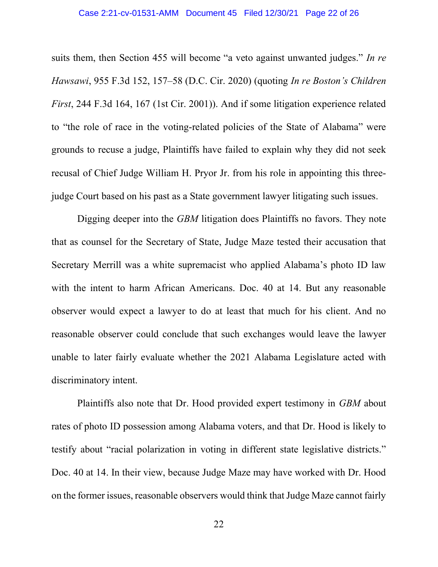suits them, then Section 455 will become "a veto against unwanted judges." In re Hawsawi, 955 F.3d 152, 157–58 (D.C. Cir. 2020) (quoting In re Boston's Children First, 244 F.3d 164, 167 (1st Cir. 2001)). And if some litigation experience related to "the role of race in the voting-related policies of the State of Alabama" were grounds to recuse a judge, Plaintiffs have failed to explain why they did not seek recusal of Chief Judge William H. Pryor Jr. from his role in appointing this threejudge Court based on his past as a State government lawyer litigating such issues.

Digging deeper into the *GBM* litigation does Plaintiffs no favors. They note that as counsel for the Secretary of State, Judge Maze tested their accusation that Secretary Merrill was a white supremacist who applied Alabama's photo ID law with the intent to harm African Americans. Doc. 40 at 14. But any reasonable observer would expect a lawyer to do at least that much for his client. And no reasonable observer could conclude that such exchanges would leave the lawyer unable to later fairly evaluate whether the 2021 Alabama Legislature acted with discriminatory intent.

 Plaintiffs also note that Dr. Hood provided expert testimony in GBM about rates of photo ID possession among Alabama voters, and that Dr. Hood is likely to testify about "racial polarization in voting in different state legislative districts." Doc. 40 at 14. In their view, because Judge Maze may have worked with Dr. Hood on the former issues, reasonable observers would think that Judge Maze cannot fairly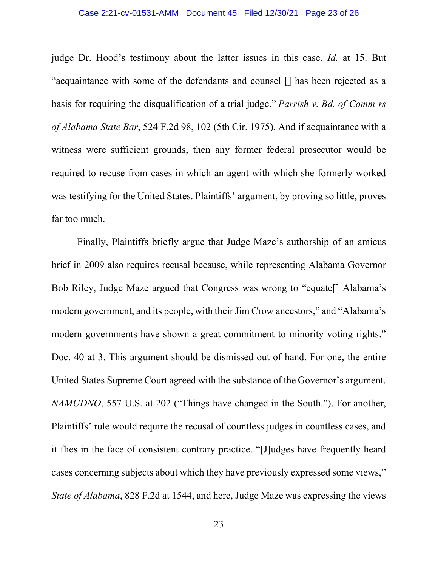#### Case 2:21-cv-01531-AMM Document 45 Filed 12/30/21 Page 23 of 26

judge Dr. Hood's testimony about the latter issues in this case. Id. at 15. But "acquaintance with some of the defendants and counsel [] has been rejected as a basis for requiring the disqualification of a trial judge." Parrish v. Bd. of Comm'rs of Alabama State Bar, 524 F.2d 98, 102 (5th Cir. 1975). And if acquaintance with a witness were sufficient grounds, then any former federal prosecutor would be required to recuse from cases in which an agent with which she formerly worked was testifying for the United States. Plaintiffs' argument, by proving so little, proves far too much.

Finally, Plaintiffs briefly argue that Judge Maze's authorship of an amicus brief in 2009 also requires recusal because, while representing Alabama Governor Bob Riley, Judge Maze argued that Congress was wrong to "equate[] Alabama's modern government, and its people, with their Jim Crow ancestors," and "Alabama's modern governments have shown a great commitment to minority voting rights." Doc. 40 at 3. This argument should be dismissed out of hand. For one, the entire United States Supreme Court agreed with the substance of the Governor's argument. NAMUDNO, 557 U.S. at 202 ("Things have changed in the South."). For another, Plaintiffs' rule would require the recusal of countless judges in countless cases, and it flies in the face of consistent contrary practice. "[J]udges have frequently heard cases concerning subjects about which they have previously expressed some views," State of Alabama, 828 F.2d at 1544, and here, Judge Maze was expressing the views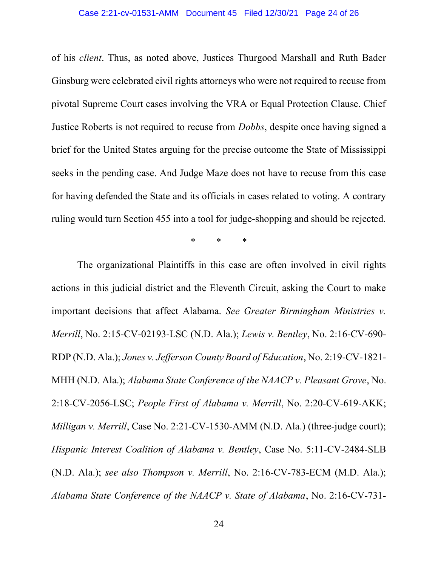#### Case 2:21-cv-01531-AMM Document 45 Filed 12/30/21 Page 24 of 26

of his client. Thus, as noted above, Justices Thurgood Marshall and Ruth Bader Ginsburg were celebrated civil rights attorneys who were not required to recuse from pivotal Supreme Court cases involving the VRA or Equal Protection Clause. Chief Justice Roberts is not required to recuse from Dobbs, despite once having signed a brief for the United States arguing for the precise outcome the State of Mississippi seeks in the pending case. And Judge Maze does not have to recuse from this case for having defended the State and its officials in cases related to voting. A contrary ruling would turn Section 455 into a tool for judge-shopping and should be rejected.

\* \* \*

 The organizational Plaintiffs in this case are often involved in civil rights actions in this judicial district and the Eleventh Circuit, asking the Court to make important decisions that affect Alabama. See Greater Birmingham Ministries v. Merrill, No. 2:15-CV-02193-LSC (N.D. Ala.); Lewis v. Bentley, No. 2:16-CV-690- RDP (N.D. Ala.); Jones v. Jefferson County Board of Education, No. 2:19-CV-1821- MHH (N.D. Ala.); Alabama State Conference of the NAACP v. Pleasant Grove, No. 2:18-CV-2056-LSC; People First of Alabama v. Merrill, No. 2:20-CV-619-AKK; Milligan v. Merrill, Case No. 2:21-CV-1530-AMM (N.D. Ala.) (three-judge court); Hispanic Interest Coalition of Alabama v. Bentley, Case No. 5:11-CV-2484-SLB (N.D. Ala.); see also Thompson v. Merrill, No. 2:16-CV-783-ECM (M.D. Ala.); Alabama State Conference of the NAACP v. State of Alabama, No. 2:16-CV-731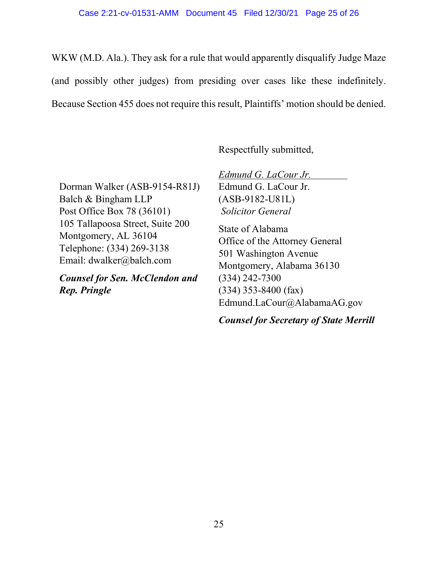WKW (M.D. Ala.). They ask for a rule that would apparently disqualify Judge Maze (and possibly other judges) from presiding over cases like these indefinitely. Because Section 455 does not require this result, Plaintiffs' motion should be denied.

Respectfully submitted,

Dorman Walker (ASB-9154-R81J) Balch & Bingham LLP Post Office Box 78 (36101) 105 Tallapoosa Street, Suite 200 Montgomery, AL 36104 Telephone: (334) 269-3138 Email: dwalker@balch.com

Counsel for Sen. McClendon and Rep. Pringle

Edmund G. LaCour Jr. Edmund G. LaCour Jr. (ASB-9182-U81L) Solicitor General State of Alabama Office of the Attorney General 501 Washington Avenue Montgomery, Alabama 36130 (334) 242-7300 (334) 353-8400 (fax) Edmund.LaCour@AlabamaAG.gov

Counsel for Secretary of State Merrill